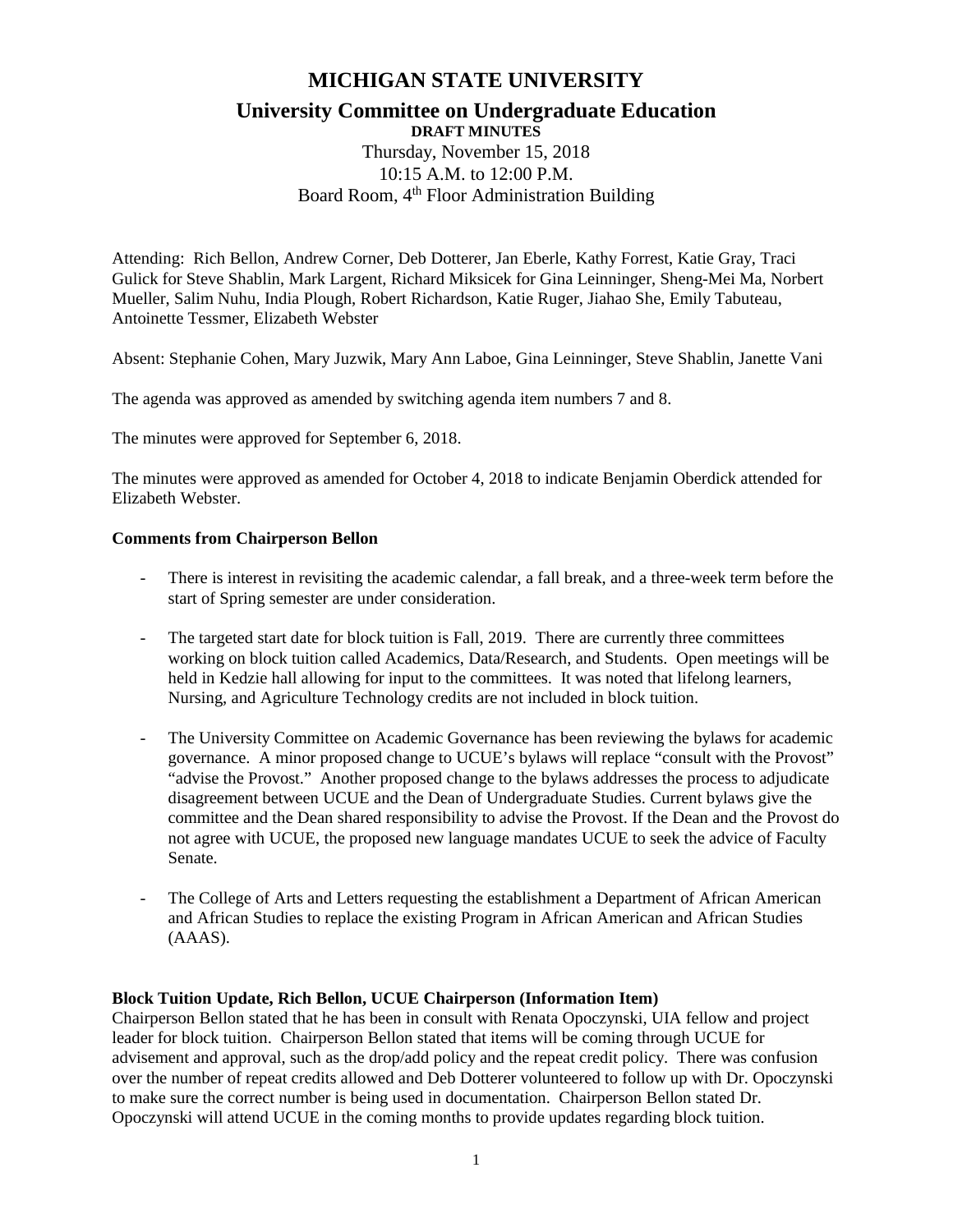# **MICHIGAN STATE UNIVERSITY**

## **University Committee on Undergraduate Education DRAFT MINUTES**

Thursday, November 15, 2018 10:15 A.M. to 12:00 P.M. Board Room, 4<sup>th</sup> Floor Administration Building

Attending: Rich Bellon, Andrew Corner, Deb Dotterer, Jan Eberle, Kathy Forrest, Katie Gray, Traci Gulick for Steve Shablin, Mark Largent, Richard Miksicek for Gina Leinninger, Sheng-Mei Ma, Norbert Mueller, Salim Nuhu, India Plough, Robert Richardson, Katie Ruger, Jiahao She, Emily Tabuteau, Antoinette Tessmer, Elizabeth Webster

Absent: Stephanie Cohen, Mary Juzwik, Mary Ann Laboe, Gina Leinninger, Steve Shablin, Janette Vani

The agenda was approved as amended by switching agenda item numbers 7 and 8.

The minutes were approved for September 6, 2018.

The minutes were approved as amended for October 4, 2018 to indicate Benjamin Oberdick attended for Elizabeth Webster.

## **Comments from Chairperson Bellon**

- There is interest in revisiting the academic calendar, a fall break, and a three-week term before the start of Spring semester are under consideration.
- The targeted start date for block tuition is Fall, 2019. There are currently three committees working on block tuition called Academics, Data/Research, and Students. Open meetings will be held in Kedzie hall allowing for input to the committees. It was noted that lifelong learners, Nursing, and Agriculture Technology credits are not included in block tuition.
- The University Committee on Academic Governance has been reviewing the bylaws for academic governance. A minor proposed change to UCUE's bylaws will replace "consult with the Provost" "advise the Provost." Another proposed change to the bylaws addresses the process to adjudicate disagreement between UCUE and the Dean of Undergraduate Studies. Current bylaws give the committee and the Dean shared responsibility to advise the Provost. If the Dean and the Provost do not agree with UCUE, the proposed new language mandates UCUE to seek the advice of Faculty Senate.
- The College of Arts and Letters requesting the establishment a Department of African American and African Studies to replace the existing Program in African American and African Studies (AAAS).

# **Block Tuition Update, Rich Bellon, UCUE Chairperson (Information Item)**

Chairperson Bellon stated that he has been in consult with Renata Opoczynski, UIA fellow and project leader for block tuition. Chairperson Bellon stated that items will be coming through UCUE for advisement and approval, such as the drop/add policy and the repeat credit policy. There was confusion over the number of repeat credits allowed and Deb Dotterer volunteered to follow up with Dr. Opoczynski to make sure the correct number is being used in documentation. Chairperson Bellon stated Dr. Opoczynski will attend UCUE in the coming months to provide updates regarding block tuition.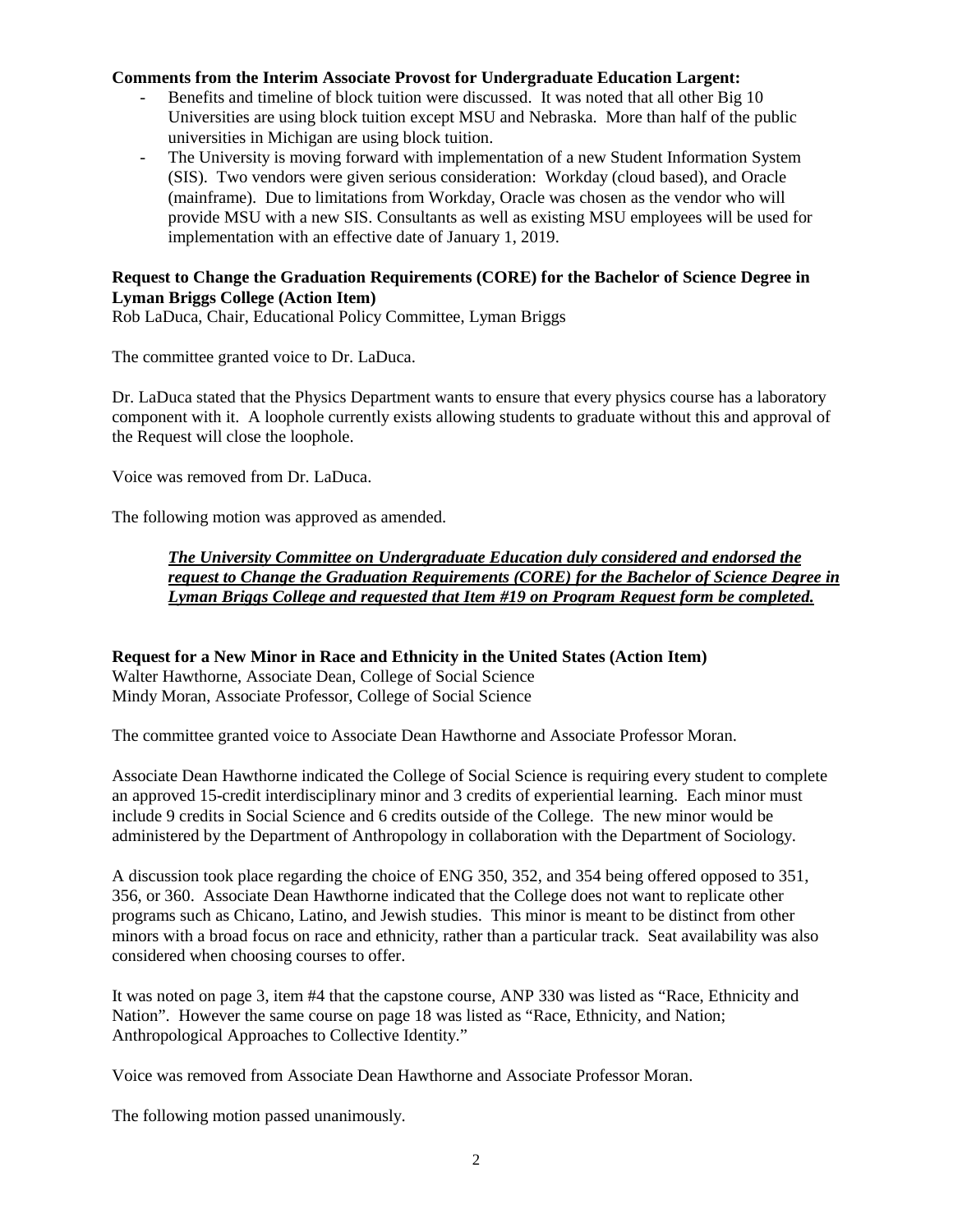#### **Comments from the Interim Associate Provost for Undergraduate Education Largent:**

- Benefits and timeline of block tuition were discussed. It was noted that all other Big 10 Universities are using block tuition except MSU and Nebraska. More than half of the public universities in Michigan are using block tuition.
- The University is moving forward with implementation of a new Student Information System (SIS). Two vendors were given serious consideration: Workday (cloud based), and Oracle (mainframe). Due to limitations from Workday, Oracle was chosen as the vendor who will provide MSU with a new SIS. Consultants as well as existing MSU employees will be used for implementation with an effective date of January 1, 2019.

#### **Request to Change the Graduation Requirements (CORE) for the Bachelor of Science Degree in Lyman Briggs College (Action Item)**

Rob LaDuca, Chair, Educational Policy Committee, Lyman Briggs

The committee granted voice to Dr. LaDuca.

Dr. LaDuca stated that the Physics Department wants to ensure that every physics course has a laboratory component with it. A loophole currently exists allowing students to graduate without this and approval of the Request will close the loophole.

Voice was removed from Dr. LaDuca.

The following motion was approved as amended.

## *The University Committee on Undergraduate Education duly considered and endorsed the request to Change the Graduation Requirements (CORE) for the Bachelor of Science Degree in Lyman Briggs College and requested that Item #19 on Program Request form be completed.*

**Request for a New Minor in Race and Ethnicity in the United States (Action Item)** Walter Hawthorne, Associate Dean, College of Social Science Mindy Moran, Associate Professor, College of Social Science

The committee granted voice to Associate Dean Hawthorne and Associate Professor Moran.

Associate Dean Hawthorne indicated the College of Social Science is requiring every student to complete an approved 15-credit interdisciplinary minor and 3 credits of experiential learning. Each minor must include 9 credits in Social Science and 6 credits outside of the College. The new minor would be administered by the Department of Anthropology in collaboration with the Department of Sociology.

A discussion took place regarding the choice of ENG 350, 352, and 354 being offered opposed to 351, 356, or 360. Associate Dean Hawthorne indicated that the College does not want to replicate other programs such as Chicano, Latino, and Jewish studies. This minor is meant to be distinct from other minors with a broad focus on race and ethnicity, rather than a particular track. Seat availability was also considered when choosing courses to offer.

It was noted on page 3, item #4 that the capstone course, ANP 330 was listed as "Race, Ethnicity and Nation". However the same course on page 18 was listed as "Race, Ethnicity, and Nation; Anthropological Approaches to Collective Identity."

Voice was removed from Associate Dean Hawthorne and Associate Professor Moran.

The following motion passed unanimously.